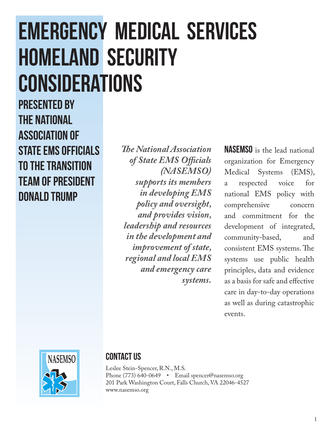# EMERGENCY MEDICAL SERVICES HOMELAND SECURITY CONSIDERATIONS

Presented by the National Association of STATE EMS OFFICIALS to the Transition Team of President Donald Trump

*The National Association of State EMS Officials (NASEMSO) supports its members in developing EMS policy and oversight, and provides vision, leadership and resources in the development and improvement of state, regional and local EMS and emergency care systems.*

NASEMSO is the lead national organization for Emergency Medical Systems (EMS), a respected voice for national EMS policy with comprehensive concern and commitment for the development of integrated, community-based, and consistent EMS systems. The systems use public health principles, data and evidence as a basis for safe and effective care in day-to-day operations as well as during catastrophic events.



#### CONTACT US

Leslee Stein-Spencer, R.N., M.S. Phone (773) 640-0649 • Email [spencer@nasemso.org](mailto:spencer@nasemso.org) 201 Park Washington Court, Falls Church, VA 22046-4527 [www.nasemso.org](http://www.nasemso.org)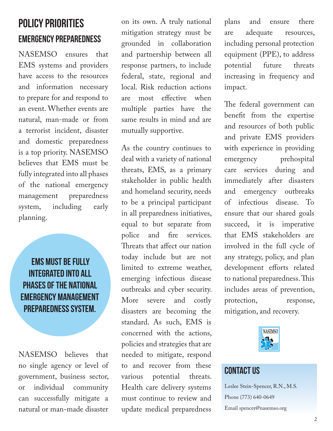## Policy Priorities Emergency Preparedness

NASEMSO ensures that EMS systems and providers have access to the resources and information necessary to prepare for and respond to an event. Whether events are natural, man-made or from a terrorist incident, disaster and domestic preparedness is a top priority. NASEMSO believes that EMS must be fully integrated into all phases of the national emergency management preparedness system, including early planning.

**FMS MUST BF FULLY** integrated into all phases of the national emergency management preparedness system.

NASEMSO believes that no single agency or level of government, business sector, or individual community can successfully mitigate a natural or man-made disaster on its own. A truly national mitigation strategy must be grounded in collaboration and partnership between all response partners, to include federal, state, regional and local. Risk reduction actions are most effective when multiple parties have the same results in mind and are mutually supportive.

As the country continues to deal with a variety of national threats, EMS, as a primary stakeholder in public health and homeland security, needs to be a principal participant in all preparedness initiatives, equal to but separate from police and fire services. Threats that affect our nation today include but are not limited to extreme weather, emerging infectious disease outbreaks and cyber security. More severe and costly disasters are becoming the standard. As such, EMS is concerned with the actions, policies and strategies that are needed to mitigate, respond to and recover from these various potential threats. Health care delivery systems must continue to review and update medical preparedness

plans and ensure there are adequate resources, including personal protection equipment (PPE), to address potential future threats increasing in frequency and impact.

The federal government can benefit from the expertise and resources of both public and private EMS providers with experience in providing emergency prehospital care services during and immediately after disasters and emergency outbreaks of infectious disease. To ensure that our shared goals succeed, it is imperative that EMS stakeholders are involved in the full cycle of any strategy, policy, and plan development efforts related to national preparedness. This includes areas of prevention, protection, response, mitigation, and recovery.



#### **CONTACT US**

Leslee Stein-Spencer, R.N., M.S. Phone (773) 640-0649 Email [spencer@nasemso.org](mailto:spencer@nasemso.org)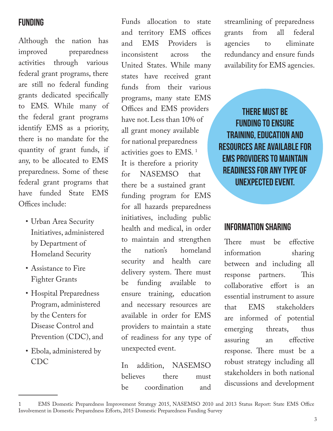#### Funding

Although the nation has improved preparedness activities through various federal grant programs, there are still no federal funding grants dedicated specifically to EMS. While many of the federal grant programs identify EMS as a priority, there is no mandate for the quantity of grant funds, if any, to be allocated to EMS preparedness. Some of these federal grant programs that have funded State EMS Offices include:

- Urban Area Security Initiatives, administered by Department of Homeland Security
- Assistance to Fire Fighter Grants
- Hospital Preparedness Program, administered by the Centers for Disease Control and Prevention (CDC), and
- Ebola, administered by CDC

Funds allocation to state and territory EMS offices and EMS Providers is inconsistent across the United States. While many states have received grant funds from their various programs, many state EMS Offices and EMS providers have not. Less than 10% of all grant money available for national preparedness activities goes to EMS. 1 It is therefore a priority for NASEMSO that there be a sustained grant funding program for EMS for all hazards preparedness initiatives, including public health and medical, in order to maintain and strengthen the nation's homeland security and health care delivery system. There must be funding available to ensure training, education and necessary resources are available in order for EMS providers to maintain a state of readiness for any type of unexpected event.

In addition, NASEMSO believes there must be coordination and

streamlining of preparedness grants from all federal agencies to eliminate redundancy and ensure funds availability for EMS agencies.

There must be funding to ensure training, education and resources are available for EMS providers to maintain readiness for any type of unexpected event.

#### Information Sharing

There must be effective information sharing between and including all response partners. This collaborative effort is an essential instrument to assure that EMS stakeholders are informed of potential emerging threats, thus assuring an effective response. There must be a robust strategy including all stakeholders in both national discussions and development

<sup>1</sup> EMS Domestic Preparedness Improvement Strategy 2015, NASEMSO 2010 and 2013 Status Report: State EMS Office Involvement in Domestic Preparedness Efforts, 2015 Domestic Preparedness Funding Survey